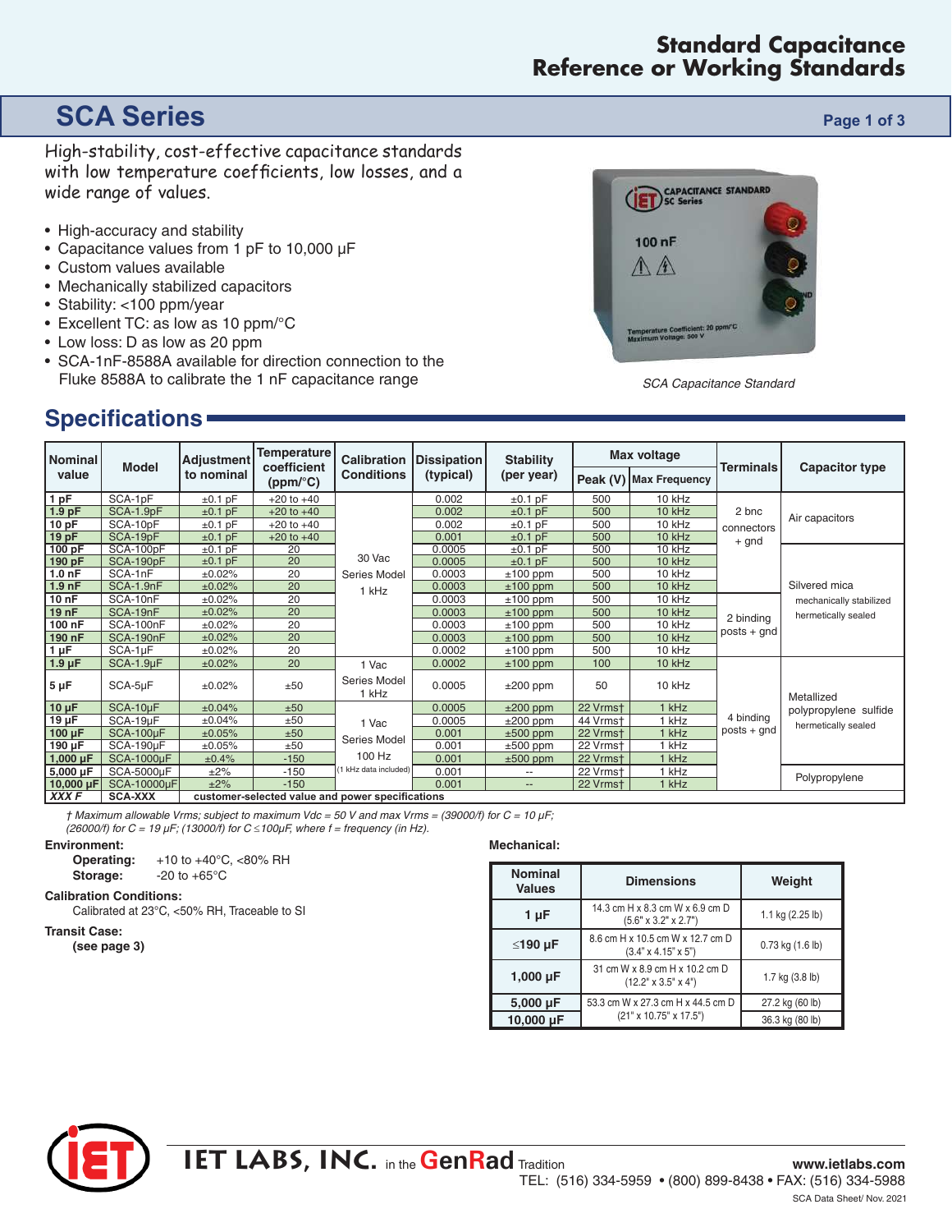### **Standard Capacitance Reference or Working Standards**

# **SCA Series Page 1 of 3**

High-stability, cost-effective capacitance standards with low temperature coefficients, low losses, and a wide range of values.

- High-accuracy and stability
- Capacitance values from 1 pF to 10,000 µF
- Custom values available
- Mechanically stabilized capacitors
- Stability: <100 ppm/year
- Excellent TC: as low as 10 ppm/°C
- Low loss: D as low as 20 ppm
- SCA-1nF-8588A available for direction connection to the Fluke 8588A to calibrate the 1 nF capacitance range

# **Specifications**



SCA Capacitance Standard

| Nominal<br>value  | <b>Model</b>      | <b>Adjustment</b><br>to nominal                  | <b>Temperature</b><br>coefficient<br>(ppm/°C) | <b>Calibration</b><br><b>Conditions</b> | Dissipation<br>(typical) | <b>Stability</b><br>(per year) | <b>Max voltage</b> |                        |                  |                         |
|-------------------|-------------------|--------------------------------------------------|-----------------------------------------------|-----------------------------------------|--------------------------|--------------------------------|--------------------|------------------------|------------------|-------------------------|
|                   |                   |                                                  |                                               |                                         |                          |                                |                    | Peak (V) Max Frequency | <b>Terminals</b> | <b>Capacitor type</b>   |
| 1 pF              | SCA-1pF           | $±0.1$ pF                                        | $+20$ to $+40$                                |                                         | 0.002                    | $±0.1$ pF                      | 500                | 10 kHz                 |                  |                         |
| 1.9 <sub>pF</sub> | SCA-1.9pF         | $±0.1$ pF                                        | $+20$ to $+40$                                |                                         | 0.002                    | $±0.1$ pF                      | 500                | 10 kHz                 | 2 bnc            | Air capacitors          |
| 10 pF             | SCA-10pF          | $±0.1$ pF                                        | $+20$ to $+40$                                |                                         | 0.002                    | $±0.1$ pF                      | 500                | 10 kHz                 | connectors       |                         |
| 19 pF             | SCA-19pF          | $±0.1$ pF                                        | $+20$ to $+40$                                |                                         | 0.001                    | $±0.1$ pF                      | 500                | 10 kHz                 | + gnd            |                         |
| 100 pF            | SCA-100pF         | $±0.1$ pF                                        | 20                                            |                                         | 0.0005                   | ±0.1pF                         | 500                | 10 kHz                 |                  |                         |
| 190 pF            | SCA-190pF         | $±0.1$ pF                                        | 20                                            | 30 Vac                                  | 0.0005                   | $±0.1$ pF                      | 500                | 10 kHz                 |                  |                         |
| 1.0 <sub>nP</sub> | SCA-1nF           | ±0.02%                                           | 20                                            | Series Model                            | 0.0003                   | $±100$ ppm                     | 500                | 10 kHz                 |                  |                         |
| 1.9 <sub>nP</sub> | SCA-1.9nF         | ±0.02%                                           | 20                                            | 1 kHz                                   | 0.0003                   | $±100$ ppm                     | 500                | 10 kHz                 |                  | Silvered mica           |
| 10 nF             | SCA-10nF          | ±0.02%                                           | 20                                            |                                         | 0.0003                   | $±100$ ppm                     | 500                | 10 kHz                 |                  | mechanically stabilized |
| 19 nF             | SCA-19nF          | ±0.02%                                           | 20                                            |                                         | 0.0003                   | $±100$ ppm                     | 500                | 10 kHz                 | 2 binding        | hermetically sealed     |
| 100 nF            | SCA-100nF         | ±0.02%                                           | 20                                            |                                         | 0.0003                   | $±100$ ppm                     | 500                | 10 kHz                 |                  |                         |
| 190 nF            | SCA-190nF         | ±0.02%                                           | 20                                            |                                         | 0.0003                   | $±100$ ppm                     | 500                | 10 kHz                 | $posts + gnd$    |                         |
| $1 \mu F$         | SCA-1µF           | ±0.02%                                           | 20                                            |                                         | 0.0002                   | $±100$ ppm                     | 500                | 10 kHz                 |                  |                         |
| $1.9 \mu F$       | $SCA-1.9\mu F$    | ±0.02%                                           | 20                                            | 1 Vac                                   | 0.0002                   | $±100$ ppm                     | 100                | 10 kHz                 |                  |                         |
| $5 \mu F$         | SCA-5µF           | ±0.02%                                           | ±50                                           | Series Model<br>1 kHz                   | 0.0005                   | $±200$ ppm                     | 50                 | 10 kHz                 |                  | Metallized              |
| $10 \mu F$        | SCA-10µF          | ±0.04%                                           | ±50                                           |                                         | 0.0005                   | $±200$ ppm                     | 22 Vrmst           | 1 kHz                  |                  | polypropylene sulfide   |
| $19 \mu F$        | SCA-19µF          | ±0.04%                                           | ±50                                           | 1 Vac                                   | 0.0005                   | $±200$ ppm                     | 44 Vrmst           | 1 kHz                  | 4 binding        | hermetically sealed     |
| $100 \mu F$       | SCA-100µF         | ±0.05%                                           | ±50                                           |                                         | 0.001                    | $±500$ ppm                     | 22 Vrmst           | 1 kHz                  | $posts + qnd$    |                         |
| 190 µF            | SCA-190µF         | ±0.05%                                           | ±50                                           | Series Model                            | 0.001                    | $±500$ ppm                     | 22 Vrmst           | 1 kHz                  |                  |                         |
| 1,000 $\mu$ F     | <b>SCA-1000µF</b> | ±0.4%                                            | $-150$                                        | 100 Hz                                  | 0.001                    | $±500$ ppm                     | 22 Vrmst           | 1 kHz                  |                  |                         |
| 5,000 µF          | SCA-5000µF        | $\pm 2\%$                                        | $-150$                                        | (1 kHz data included)                   | 0.001                    | --                             | 22 Vrmst           | 1 kHz                  |                  |                         |
| 10,000 $\mu$ F    | SCA-10000µF       | ±2%                                              | $-150$                                        |                                         | 0.001                    | $\qquad \qquad \cdots$         | 22 Vrmst           | 1 kHz                  |                  | Polypropylene           |
| XXX F             | <b>SCA-XXX</b>    | customer-selected value and power specifications |                                               |                                         |                          |                                |                    |                        |                  |                         |

 $\dagger$  Maximum allowable Vrms; subject to maximum Vdc = 50 V and max Vrms = (39000/f) for C = 10  $\mu$ F;

(26000/f) for  $C = 19 \mu$ F; (13000/f) for  $C \le 100 \mu$ F, where f = frequency (in Hz).

### **Environment:**

**Operating:** +10 to +40°C, <80% RH **Storage:**  $-20$  to  $+65^{\circ}$ C

### **Calibration Conditions:**

Calibrated at 23°C, <50% RH, Traceable to SI

### **Transit Case:**

**(see page 3)**

### **Mechanical:**

| <b>Nominal</b><br><b>Values</b> | <b>Dimensions</b>                                                   | Weight           |  |  |
|---------------------------------|---------------------------------------------------------------------|------------------|--|--|
| 1 µF                            | 14.3 cm H x 8.3 cm W x 6.9 cm D<br>$(5.6" \times 3.2" \times 2.7")$ | 1.1 kg (2.25 lb) |  |  |
| ≤190 µF                         | 8.6 cm H x 10.5 cm W x 12.7 cm D<br>$(3.4" \times 4.15" \times 5")$ | 0.73 kg (1.6 lb) |  |  |
| 1,000 $\mu$ F                   | 31 cm W x 8.9 cm H x 10.2 cm D<br>$(12.2" \times 3.5" \times 4")$   | 1.7 kg (3.8 lb)  |  |  |
| $5,000 \,\mu F$                 | 53.3 cm W x 27.3 cm H x 44.5 cm D                                   | 27.2 kg (60 lb)  |  |  |
| 10,000 µF                       | (21" x 10.75" x 17.5")                                              | 36.3 kg (80 lb)  |  |  |

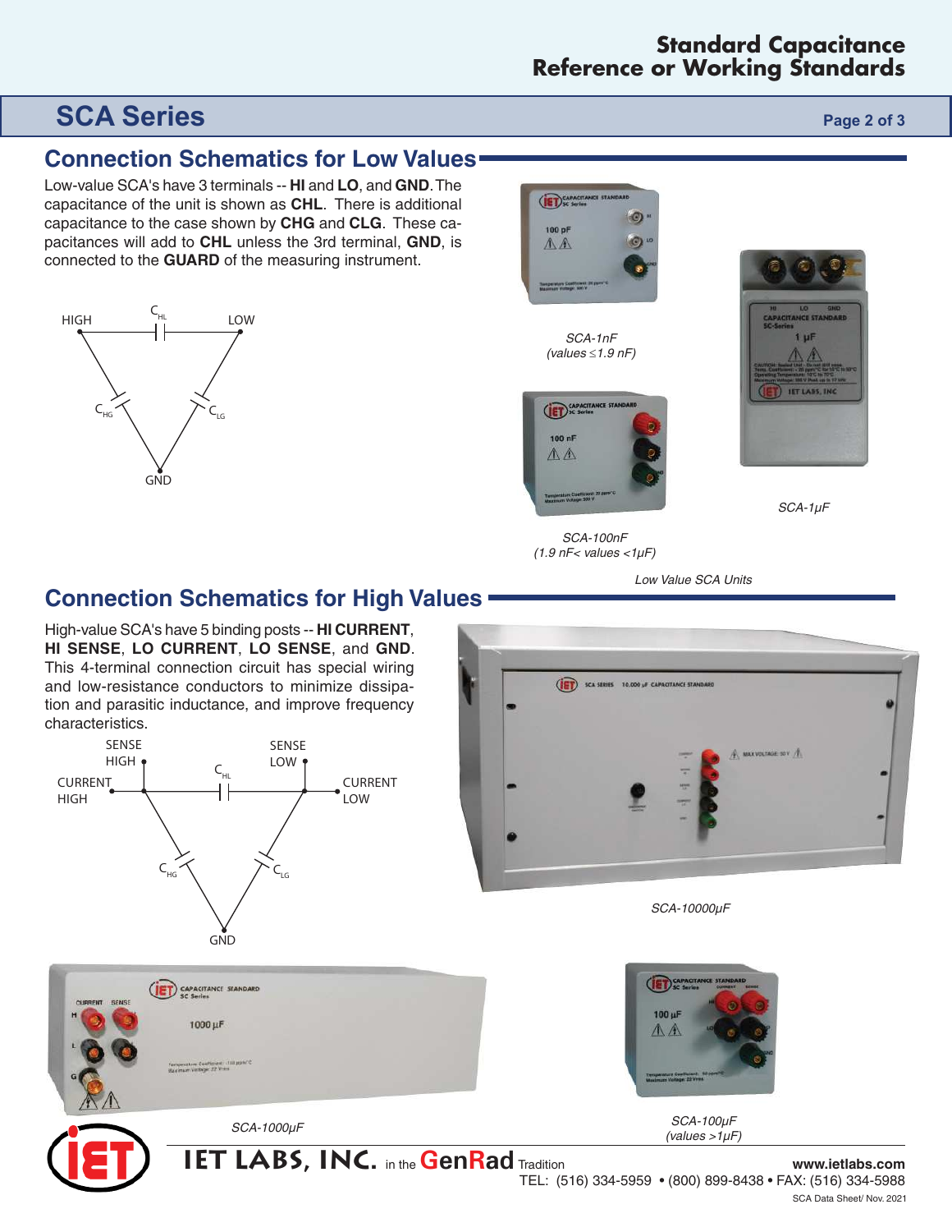# **SCA Series Page 2 of 3**

## **Connection Schematics for Low Values**

Low-value SCA's have 3 terminals -- **HI** and **LO**, and **GND**. The capacitance of the unit is shown as **CHL**. There is additional capacitance to the case shown by **CHG** and **CLG**. These capacitances will add to **CHL** unless the 3rd terminal, **GND**, is connected to the **GUARD** of the measuring instrument.





SCA-1nF (values  $\leq$  1.9 nF)



**IET LABS. I** 

SCA-1µF

SCA-100nF  $(1.9 \text{ nF}$  values  $<$ 1 $\mu$ F)

(ET) SCA SERIES 10,000 HF CAPACITANCE STA

Low Value SCA Units

## **Connection Schematics for High Values**

High-value SCA's have 5 binding posts -- **HI CURRENT**, **HI SENSE**, **LO CURRENT**, **LO SENSE**, and **GND**. This 4-terminal connection circuit has special wiring and low-resistance conductors to minimize dissipation and parasitic inductance, and improve frequency characteristics.





 $(values > 1\mu F)$ 

**IABS, INC.** in the **GenRad** Tradition **www.ietlabs.com** 

TEL: (516) 334-5959 • (800) 899-8438 • FAX: (516) 334-5988

SCA Data Sheet/ Nov. 2021